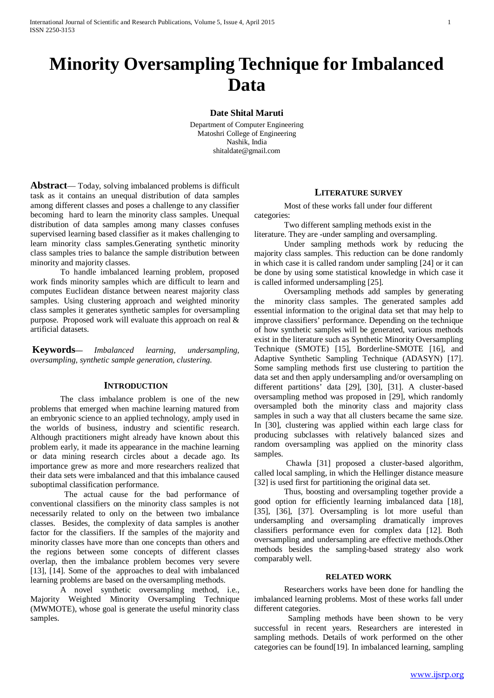# **Minority Oversampling Technique for Imbalanced Data**

## **Date Shital Maruti**

Department of Computer Engineering Matoshri College of Engineering Nashik, India shitaldate@gmail.com

**Abstract**— Today, solving imbalanced problems is difficult task as it contains an unequal distribution of data samples among different classes and poses a challenge to any classifier becoming hard to learn the minority class samples. Unequal distribution of data samples among many classes confuses supervised learning based classifier as it makes challenging to learn minority class samples.Generating synthetic minority class samples tries to balance the sample distribution between minority and majority classes.

To handle imbalanced learning problem, proposed work finds minority samples which are difficult to learn and computes Euclidean distance between nearest majority class samples. Using clustering approach and weighted minority class samples it generates synthetic samples for oversampling purpose. Proposed work will evaluate this approach on real & artificial datasets.

**Keywords—** *Imbalanced learning, undersampling, oversampling, synthetic sample generation, clustering.*

## **INTRODUCTION**

The class imbalance problem is one of the new problems that emerged when machine learning matured from an embryonic science to an applied technology, amply used in the worlds of business, industry and scientific research. Although practitioners might already have known about this problem early, it made its appearance in the machine learning or data mining research circles about a decade ago. Its importance grew as more and more researchers realized that their data sets were imbalanced and that this imbalance caused suboptimal classification performance.

 The actual cause for the bad performance of conventional classifiers on the minority class samples is not necessarily related to only on the between two imbalance classes. Besides, the complexity of data samples is another factor for the classifiers. If the samples of the majority and minority classes have more than one concepts than others and the regions between some concepts of different classes overlap, then the imbalance problem becomes very severe [13], [14]. Some of the approaches to deal with imbalanced learning problems are based on the oversampling methods.

A novel synthetic oversampling method, i.e., Majority Weighted Minority Oversampling Technique (MWMOTE), whose goal is generate the useful minority class samples.

## **LITERATURE SURVEY**

Most of these works fall under four different categories:

Two different sampling methods exist in the literature. They are -under sampling and oversampling.

Under sampling methods work by reducing the majority class samples. This reduction can be done randomly in which case it is called random under sampling [24] or it can be done by using some statistical knowledge in which case it is called informed undersampling [25].

Oversampling methods add samples by generating the minority class samples. The generated samples add essential information to the original data set that may help to improve classifiers' performance. Depending on the technique of how synthetic samples will be generated, various methods exist in the literature such as Synthetic Minority Oversampling Technique (SMOTE) [15], Borderline-SMOTE [16], and Adaptive Synthetic Sampling Technique (ADASYN) [17]. Some sampling methods first use clustering to partition the data set and then apply undersampling and/or oversampling on different partitions' data [29], [30], [31]. A cluster-based oversampling method was proposed in [29], which randomly oversampled both the minority class and majority class samples in such a way that all clusters became the same size. In [30], clustering was applied within each large class for producing subclasses with relatively balanced sizes and random oversampling was applied on the minority class samples.

Chawla [31] proposed a cluster-based algorithm, called local sampling, in which the Hellinger distance measure [32] is used first for partitioning the original data set.

Thus, boosting and oversampling together provide a good option for efficiently learning imbalanced data [18], [35], [36], [37]. Oversampling is lot more useful than undersampling and oversampling dramatically improves classifiers performance even for complex data [12]. Both oversampling and undersampling are effective methods.Other methods besides the sampling-based strategy also work comparably well.

#### **RELATED WORK**

Researchers works have been done for handling the imbalanced learning problems. Most of these works fall under different categories.

 Sampling methods have been shown to be very successful in recent years. Researchers are interested in sampling methods. Details of work performed on the other categories can be found[19]. In imbalanced learning, sampling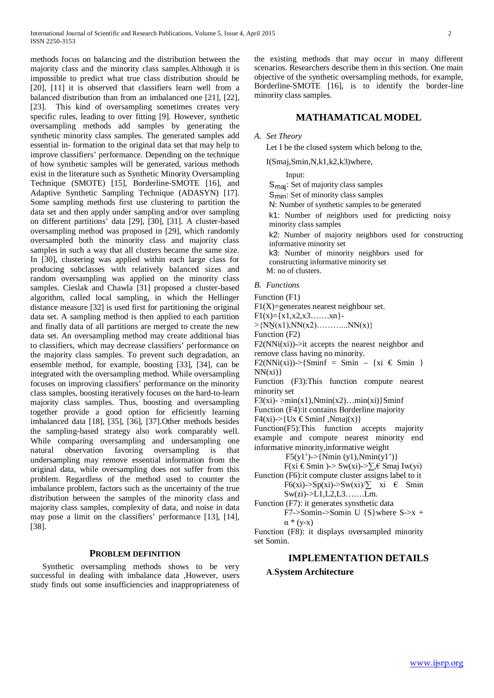methods focus on balancing and the distribution between the majority class and the minority class samples.Although it is impossible to predict what true class distribution should be [20], [11] it is observed that classifiers learn well from a balanced distribution than from an imbalanced one [21], [22], [23]. This kind of oversampling sometimes creates very specific rules, leading to over fitting [9]. However, synthetic oversampling methods add samples by generating the synthetic minority class samples. The generated samples add essential in- formation to the original data set that may help to improve classifiers' performance. Depending on the technique of how synthetic samples will be generated, various methods exist in the literature such as Synthetic Minority Oversampling Technique (SMOTE) [15], Borderline-SMOTE [16], and Adaptive Synthetic Sampling Technique (ADASYN) [17]. Some sampling methods first use clustering to partition the data set and then apply under sampling and/or over sampling on different partitions' data [29], [30], [31]. A cluster-based oversampling method was proposed in [29], which randomly oversampled both the minority class and majority class samples in such a way that all clusters became the same size. In [30], clustering was applied within each large class for producing subclasses with relatively balanced sizes and random oversampling was applied on the minority class samples. Cieslak and Chawla [31] proposed a cluster-based algorithm, called local sampling, in which the Hellinger distance measure [32] is used first for partitioning the original data set. A sampling method is then applied to each partition and finally data of all partitions are merged to create the new data set. An oversampling method may create additional bias to classifiers, which may decrease classifiers' performance on the majority class samples. To prevent such degradation, an ensemble method, for example, boosting [33], [34], can be integrated with the oversampling method. While oversampling focuses on improving classifiers' performance on the minority class samples, boosting iteratively focuses on the hard-to-learn majority class samples. Thus, boosting and oversampling together provide a good option for efficiently learning imbalanced data [18], [35], [36], [37].Other methods besides the sampling-based strategy also work comparably well. While comparing oversampling and undersampling one natural observation favoring oversampling is that undersampling may remove essential information from the original data, while oversampling does not suffer from this problem. Regardless of the method used to counter the imbalance problem, factors such as the uncertainty of the true distribution between the samples of the minority class and majority class samples, complexity of data, and noise in data may pose a limit on the classifiers' performance [13], [14], [38].

## **PROBLEM DEFINITION**

Synthetic oversampling methods shows to be very successful in dealing with imbalance data ,However, users study finds out some insufficiencies and inappropriateness of the existing methods that may occur in many different scenarios. Researchers describe them in this section. One main objective of the synthetic oversampling methods, for example, Borderline-SMOTE [16], is to identify the border-line minority class samples.

## **MATHAMATICAL MODEL**

## *A. Set Theory*

Let I be the closed system which belong to the,

I(Smaj,Smin,N,k1,k2,k3)where,

Input:

Smaj: Set of majority class samples S<sub>min</sub>: Set of minority class samples N: Number of synthetic samples to be generated k1: Number of neighbors used for predicting noisy minority class samples k2: Number of majority neighbors used for constructing informative minority set k3: Number of minority neighbors used for constructing informative minority set M: no of clusters.

## *B. Functions*

Function (F1)

 $F1(X)$ =generates nearest neighbour set.

 $F1(x)=\{x1,x2,x3......xn\}$ -

 $>$ {NN(x1),NN(x2)…………..NN(x)}

Function (F2)

 $F2(NNi(xi))$ ->it accepts the nearest neighbor and remove class having no minority.

 $F2(NNi(xi))\rightarrow {Smin} = Simin - {xi \in Smin}$  $NN(xi)$ 

Function (F3):This function compute nearest minority set

F3(xi)- $>min(x1)$ , Nmin(x2)...  $min(xi)$ }Sminf

Function (F4):it contains Borderline majority

 $F4(xi)$ ->{Ux  $\in$ Sminf, Nmaj(x)}

Function(F5):This function accepts majority example and compute nearest minority end informative minority,informative weight

F5(y1')->{Nmin (y1),Nmin(y1')}

F(xi €Smin )-> Sw(xi)-> $\Sigma$ ,€ Smaj Iw(yi)

- Function (F6):it compute cluster assigns label to it F6(xi)->Sp(xi)->Sw(xi)/ $\sum$  xi  $\in$  Smin Sw(zi)->L1,L2,L3…….Lm.
- Function (F7): it generates synsthetic data F7->Somin->Somin U  $\{S\}$  where S->x +  $\alpha * (y-x)$

Function (F8): it displays oversampled minority set Somin.

## **IMPLEMENTATION DETAILS**

## **A**.**System Architecture**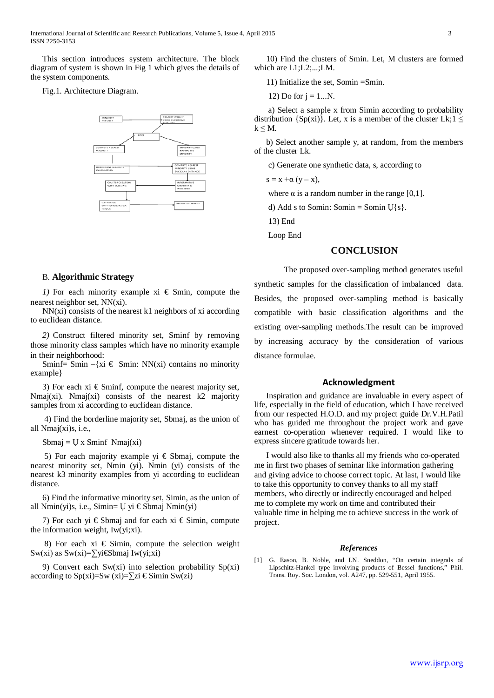This section introduces system architecture. The block diagram of system is shown in Fig 1 which gives the details of the system components.

## Fig.1. Architecture Diagram.



## B. **Algorithmic Strategy**

*1)* For each minority example  $xi \in \text{Smin}$ , compute the nearest neighbor set, NN(xi).

NN(xi) consists of the nearest k1 neighbors of xi according to euclidean distance.

*2)* Construct filtered minority set, Sminf by removing those minority class samples which have no minority example in their neighborhood:

Sminf= Smin –{ $xi \in$  Smin: NN(xi) contains no minority example}

3) For each xi  $\epsilon$  Sminf, compute the nearest majority set, Nmaj(xi). Nmaj(xi) consists of the nearest  $k2$  majority samples from xi according to euclidean distance.

4) Find the borderline majority set, Sbmaj, as the union of all Nmaj(xi)s, i.e.,

 $Sbmaj = U x Sminf Nmaj(xi)$ 

5) For each majority example yi  $\epsilon$  Sbmaj, compute the nearest minority set, Nmin (yi). Nmin (yi) consists of the nearest k3 minority examples from yi according to euclidean distance.

6) Find the informative minority set, Simin, as the union of all Nmin(yi)s, i.e., Simin=  $∪$  yi € Sbmaj Nmin(yi)

7) For each yi  $\epsilon$ Sbmaj and for each xi  $\epsilon$ Simin, compute the information weight, Iw(yi;xi).

8) For each xi  $\epsilon$  Simin, compute the selection weight Sw(xi) as Sw(xi)=∑yi€Sbmaj Iw(yi;xi)

9) Convert each Sw(xi) into selection probability Sp(xi) according to Sp(xi)=Sw (xi)=∑zi € Simin Sw(zi)

10) Find the clusters of Smin. Let, M clusters are formed which are L1;L2;...;LM.

11) Initialize the set, Somin =Smin.

12) Do for 
$$
j = 1...N
$$
.

a) Select a sample x from Simin according to probability distribution {Sp(xi)}. Let, x is a member of the cluster Lk;1  $\leq$  $k \leq M$ .

b) Select another sample y, at random, from the members of the cluster Lk.

c) Generate one synthetic data, s, according to

 $s = x + \alpha (y - x)$ ,

where  $\alpha$  is a random number in the range [0,1].

d) Add s to Somin: Somin  $\cup$ {s}.

13) End

Loop End

## **CONCLUSION**

The proposed over-sampling method generates useful synthetic samples for the classification of imbalanced data. Besides, the proposed over-sampling method is basically compatible with basic classification algorithms and the existing over-sampling methods.The result can be improved by increasing accuracy by the consideration of various distance formulae.

#### **Acknowledgment**

Inspiration and guidance are invaluable in every aspect of life, especially in the field of education, which I have received from our respected H.O.D. and my project guide Dr.V.H.Patil who has guided me throughout the project work and gave earnest co-operation whenever required. I would like to express sincere gratitude towards her.

I would also like to thanks all my friends who co-operated me in first two phases of seminar like information gathering and giving advice to choose correct topic. At last, I would like to take this opportunity to convey thanks to all my staff members, who directly or indirectly encouraged and helped me to complete my work on time and contributed their valuable time in helping me to achieve success in the work of project.

#### *References*

G. Eason, B. Noble, and I.N. Sneddon, "On certain integrals of Lipschitz-Hankel type involving products of Bessel functions," Phil. Trans. Roy. Soc. London, vol. A247, pp. 529-551, April 1955.